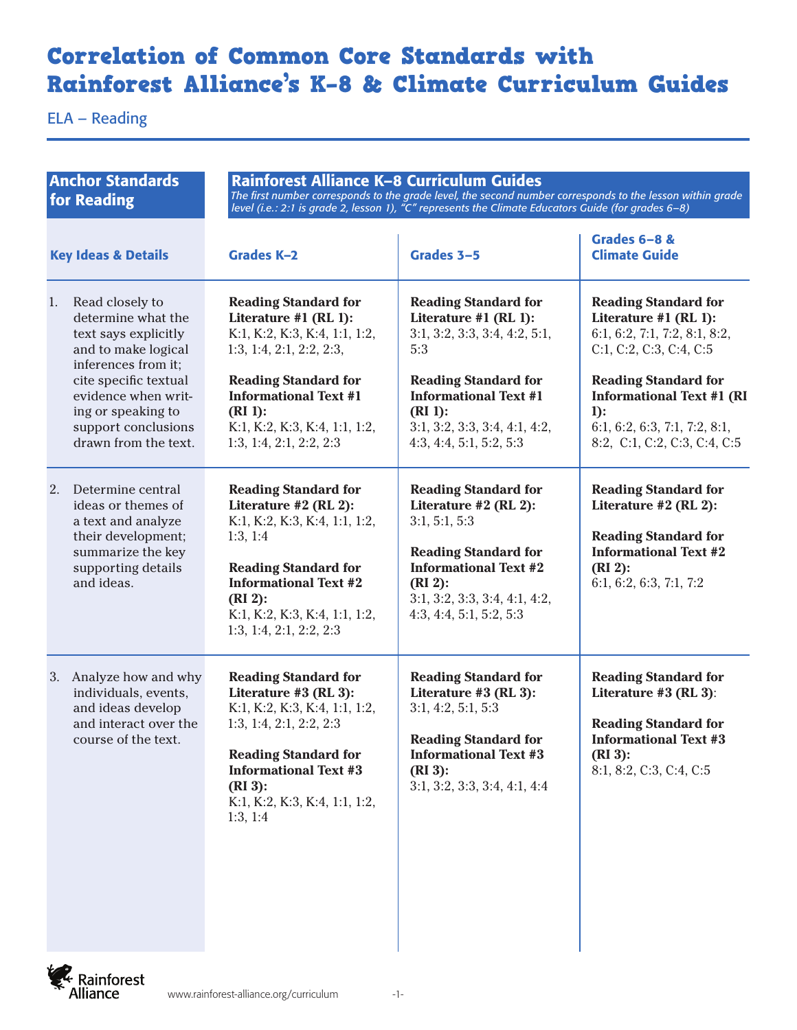## Correlation of Common Core Standards with Rainforest Alliance's K–8 & Climate Curriculum Guides

ELA – Reading

| <b>Anchor Standards</b><br>for Reading |                                                                                                                                                                                                                                  | Rainforest Alliance K-8 Curriculum Guides<br>The first number corresponds to the grade level, the second number corresponds to the lesson within grade<br>level (i.e.: 2:1 is grade 2, lesson 1), "C" represents the Climate Educators Guide (for grades 6-8) |                                                                                                                                                                                                                                     |                                                                                                                                                                                                                                                               |  |
|----------------------------------------|----------------------------------------------------------------------------------------------------------------------------------------------------------------------------------------------------------------------------------|---------------------------------------------------------------------------------------------------------------------------------------------------------------------------------------------------------------------------------------------------------------|-------------------------------------------------------------------------------------------------------------------------------------------------------------------------------------------------------------------------------------|---------------------------------------------------------------------------------------------------------------------------------------------------------------------------------------------------------------------------------------------------------------|--|
|                                        | <b>Key Ideas &amp; Details</b>                                                                                                                                                                                                   | <b>Grades K-2</b>                                                                                                                                                                                                                                             | Grades 3-5                                                                                                                                                                                                                          | Grades 6-8 &<br><b>Climate Guide</b>                                                                                                                                                                                                                          |  |
| 1.                                     | Read closely to<br>determine what the<br>text says explicitly<br>and to make logical<br>inferences from it;<br>cite specific textual<br>evidence when writ-<br>ing or speaking to<br>support conclusions<br>drawn from the text. | <b>Reading Standard for</b><br>Literature #1 (RL 1):<br>K:1, K:2, K:3, K:4, 1:1, 1:2,<br>1:3, 1:4, 2:1, 2:2, 2:3,<br><b>Reading Standard for</b><br><b>Informational Text #1</b><br>$(RI)$ :<br>K:1, K:2, K:3, K:4, 1:1, 1:2,<br>1:3, 1:4, 2:1, 2:2, 2:3      | <b>Reading Standard for</b><br>Literature #1 (RL 1):<br>3:1, 3:2, 3:3, 3:4, 4:2, 5:1,<br>5:3<br><b>Reading Standard for</b><br><b>Informational Text #1</b><br>$(RI)$ :<br>3:1, 3:2, 3:3, 3:4, 4:1, 4:2,<br>4:3, 4:4, 5:1, 5:2, 5:3 | <b>Reading Standard for</b><br>Literature #1 (RL 1):<br>6:1, 6:2, 7:1, 7:2, 8:1, 8:2,<br>C:1, C:2, C:3, C:4, C:5<br><b>Reading Standard for</b><br><b>Informational Text #1 (RI</b><br>$1$ :<br>6:1, 6:2, 6:3, 7:1, 7:2, 8:1,<br>8:2, C:1, C:2, C:3, C:4, C:5 |  |
| 2.                                     | Determine central<br>ideas or themes of<br>a text and analyze<br>their development;<br>summarize the key<br>supporting details<br>and ideas.                                                                                     | <b>Reading Standard for</b><br>Literature $#2$ (RL 2):<br>K:1, K:2, K:3, K:4, 1:1, 1:2,<br>1:3, 1:4<br><b>Reading Standard for</b><br><b>Informational Text #2</b><br>$(RI2)$ :<br>K:1, K:2, K:3, K:4, 1:1, 1:2,<br>1:3, 1:4, 2:1, 2:2, 2:3                   | <b>Reading Standard for</b><br>Literature $#2$ (RL 2):<br>3:1, 5:1, 5:3<br><b>Reading Standard for</b><br><b>Informational Text #2</b><br>$(RI2)$ :<br>3:1, 3:2, 3:3, 3:4, 4:1, 4:2,<br>4:3, 4:4, 5:1, 5:2, 5:3                     | <b>Reading Standard for</b><br>Literature $#2$ (RL 2):<br><b>Reading Standard for</b><br><b>Informational Text #2</b><br>$(RI2)$ :<br>6:1, 6:2, 6:3, 7:1, 7:2                                                                                                 |  |
|                                        | 3. Analyze how and why<br>individuals, events,<br>and ideas develop<br>and interact over the<br>course of the text.                                                                                                              | <b>Reading Standard for</b><br>Literature #3 (RL 3):<br>K:1, K:2, K:3, K:4, 1:1, 1:2,<br>1:3, 1:4, 2:1, 2:2, 2:3<br><b>Reading Standard for</b><br><b>Informational Text #3</b><br>$(RI_3)$ :<br>K:1, K:2, K:3, K:4, 1:1, 1:2,<br>1:3, 1:4                    | <b>Reading Standard for</b><br>Literature #3 (RL 3):<br>3:1, 4:2, 5:1, 5:3<br><b>Reading Standard for</b><br><b>Informational Text #3</b><br>$(RI_3)$ :<br>3:1, 3:2, 3:3, 3:4, 4:1, 4:4                                             | <b>Reading Standard for</b><br>Literature #3 (RL 3):<br><b>Reading Standard for</b><br><b>Informational Text #3</b><br>$(RI_3)$ :<br>8:1, 8:2, C:3, C:4, C:5                                                                                                  |  |

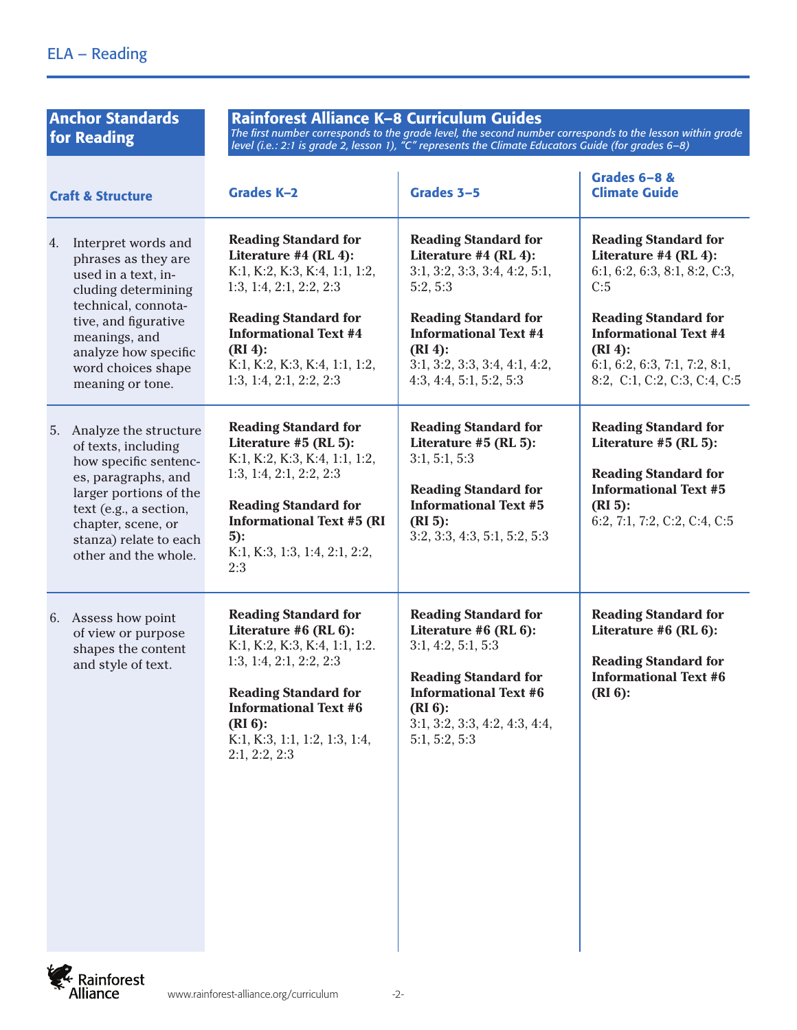| <b>Anchor Standards</b><br>for Reading                                                                                                                                                                                           | Rainforest Alliance K-8 Curriculum Guides<br>The first number corresponds to the grade level, the second number corresponds to the lesson within grade<br>level (i.e.: 2:1 is grade 2, lesson 1), " $C''$ represents the Climate Educators Guide (for grades 6–8) |                                                                                                                                                                                                                                           |                                                                                                                                                                                                                                           |  |
|----------------------------------------------------------------------------------------------------------------------------------------------------------------------------------------------------------------------------------|-------------------------------------------------------------------------------------------------------------------------------------------------------------------------------------------------------------------------------------------------------------------|-------------------------------------------------------------------------------------------------------------------------------------------------------------------------------------------------------------------------------------------|-------------------------------------------------------------------------------------------------------------------------------------------------------------------------------------------------------------------------------------------|--|
| <b>Craft &amp; Structure</b>                                                                                                                                                                                                     | <b>Grades K-2</b>                                                                                                                                                                                                                                                 | Grades 3-5                                                                                                                                                                                                                                | Grades 6-8 &<br><b>Climate Guide</b>                                                                                                                                                                                                      |  |
| Interpret words and<br>4.<br>phrases as they are<br>used in a text, in-<br>cluding determining<br>technical, connota-<br>tive, and figurative<br>meanings, and<br>analyze how specific<br>word choices shape<br>meaning or tone. | <b>Reading Standard for</b><br>Literature #4 (RL 4):<br>K:1, K:2, K:3, K:4, 1:1, 1:2,<br>1:3, 1:4, 2:1, 2:2, 2:3<br><b>Reading Standard for</b><br><b>Informational Text #4</b><br>$(RI4)$ :<br>K:1, K:2, K:3, K:4, 1:1, 1:2,<br>1:3, 1:4, 2:1, 2:2, 2:3          | <b>Reading Standard for</b><br>Literature #4 (RL 4):<br>3:1, 3:2, 3:3, 3:4, 4:2, 5:1,<br>5:2, 5:3<br><b>Reading Standard for</b><br><b>Informational Text #4</b><br>$(RI4)$ :<br>3:1, 3:2, 3:3, 3:4, 4:1, 4:2,<br>4:3, 4:4, 5:1, 5:2, 5:3 | <b>Reading Standard for</b><br>Literature #4 (RL 4):<br>6:1, 6:2, 6:3, 8:1, 8:2, C:3,<br>C:5<br><b>Reading Standard for</b><br><b>Informational Text #4</b><br>$(RI4)$ :<br>6:1, 6:2, 6:3, 7:1, 7:2, 8:1,<br>8:2, C:1, C:2, C:3, C:4, C:5 |  |
| Analyze the structure<br>5.<br>of texts, including<br>how specific sentenc-<br>es, paragraphs, and<br>larger portions of the<br>text (e.g., a section,<br>chapter, scene, or<br>stanza) relate to each<br>other and the whole.   | <b>Reading Standard for</b><br>Literature #5 (RL 5):<br>K:1, K:2, K:3, K:4, 1:1, 1:2,<br>1:3, 1:4, 2:1, 2:2, 2:3<br><b>Reading Standard for</b><br><b>Informational Text #5 (RI</b><br>$5$ :<br>K:1, K:3, 1:3, 1:4, 2:1, 2:2,<br>2:3                              | <b>Reading Standard for</b><br>Literature #5 (RL 5):<br>3:1, 5:1, 5:3<br><b>Reading Standard for</b><br><b>Informational Text #5</b><br>$(RI_5)$ :<br>3:2, 3:3, 4:3, 5:1, 5:2, 5:3                                                        | <b>Reading Standard for</b><br>Literature #5 (RL 5):<br><b>Reading Standard for</b><br><b>Informational Text #5</b><br>$(RI_5)$ :<br>6:2, 7:1, 7:2, C:2, C:4, C:5                                                                         |  |
| 6. Assess how point<br>of view or purpose<br>shapes the content<br>and style of text.                                                                                                                                            | <b>Reading Standard for</b><br>Literature #6 (RL 6):<br>K:1, K:2, K:3, K:4, 1:1, 1:2.<br>1:3, 1:4, 2:1, 2:2, 2:3<br><b>Reading Standard for</b><br><b>Informational Text #6</b><br>$(RI_6)$ :<br>K:1, K:3, 1:1, 1:2, 1:3, 1:4,<br>2:1, 2:2, 2:3                   | <b>Reading Standard for</b><br>Literature $#6$ (RL $6$ ):<br>3:1, 4:2, 5:1, 5:3<br><b>Reading Standard for</b><br><b>Informational Text #6</b><br>$(RI_6)$ :<br>3:1, 3:2, 3:3, 4:2, 4:3, 4:4,<br>5:1, 5:2, 5:3                            | <b>Reading Standard for</b><br>Literature #6 (RL 6):<br><b>Reading Standard for</b><br><b>Informational Text #6</b><br>$(RI6)$ :                                                                                                          |  |

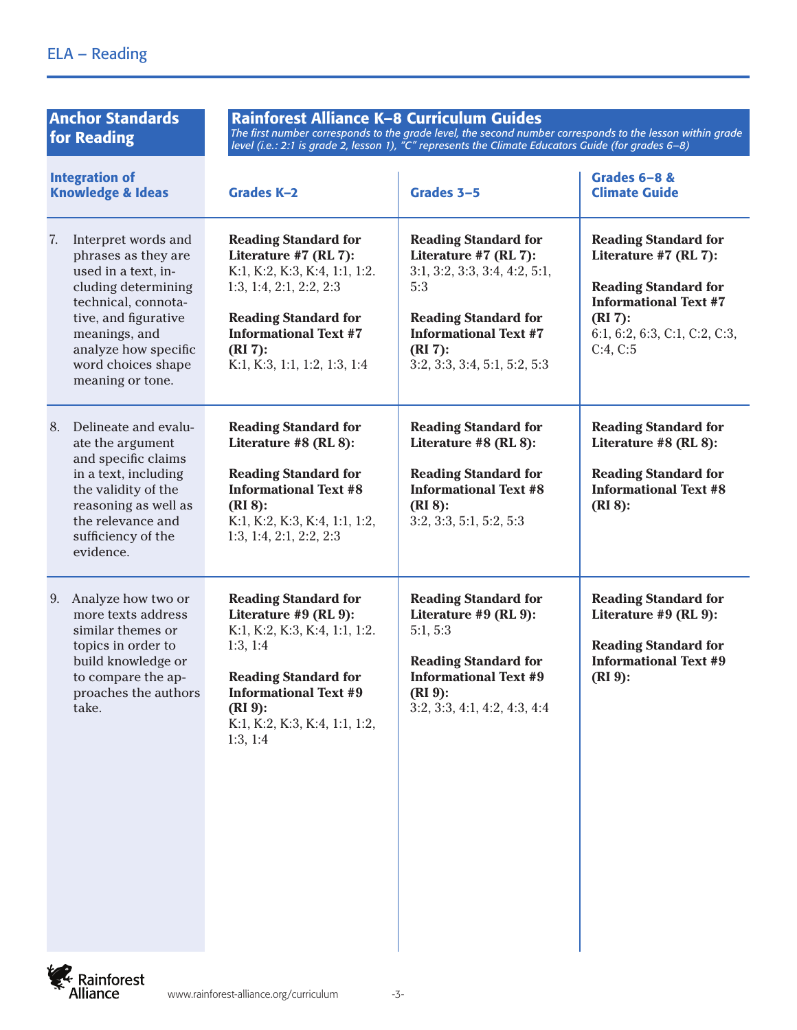| <b>Anchor Standards</b><br>for Reading                                                                                                                                                                                           | Rainforest Alliance K-8 Curriculum Guides<br>The first number corresponds to the grade level, the second number corresponds to the lesson within grade<br>level (i.e.: 2:1 is grade 2, lesson 1), " $C''$ represents the Climate Educators Guide (for grades 6–8) |                                                                                                                                                                                                           |                                                                                                                                                                                |
|----------------------------------------------------------------------------------------------------------------------------------------------------------------------------------------------------------------------------------|-------------------------------------------------------------------------------------------------------------------------------------------------------------------------------------------------------------------------------------------------------------------|-----------------------------------------------------------------------------------------------------------------------------------------------------------------------------------------------------------|--------------------------------------------------------------------------------------------------------------------------------------------------------------------------------|
| <b>Integration of</b><br><b>Knowledge &amp; Ideas</b>                                                                                                                                                                            | <b>Grades K-2</b>                                                                                                                                                                                                                                                 | Grades 3-5                                                                                                                                                                                                | Grades 6-8 &<br><b>Climate Guide</b>                                                                                                                                           |
| 7.<br>Interpret words and<br>phrases as they are<br>used in a text, in-<br>cluding determining<br>technical, connota-<br>tive, and figurative<br>meanings, and<br>analyze how specific<br>word choices shape<br>meaning or tone. | <b>Reading Standard for</b><br>Literature #7 (RL 7):<br>K:1, K:2, K:3, K:4, 1:1, 1:2.<br>1:3, 1:4, 2:1, 2:2, 2:3<br><b>Reading Standard for</b><br><b>Informational Text #7</b><br>$(RI 7)$ :<br>K:1, K:3, 1:1, 1:2, 1:3, 1:4                                     | <b>Reading Standard for</b><br>Literature #7 (RL 7):<br>3:1, 3:2, 3:3, 3:4, 4:2, 5:1,<br>5:3<br><b>Reading Standard for</b><br><b>Informational Text #7</b><br>$(RI 7)$ :<br>3:2, 3:3, 3:4, 5:1, 5:2, 5:3 | <b>Reading Standard for</b><br>Literature #7 (RL 7):<br><b>Reading Standard for</b><br><b>Informational Text #7</b><br>$(RI 7)$ :<br>6:1, 6:2, 6:3, C:1, C:2, C:3,<br>C:4, C:5 |
| Delineate and evalu-<br>8.<br>ate the argument<br>and specific claims<br>in a text, including<br>the validity of the<br>reasoning as well as<br>the relevance and<br>sufficiency of the<br>evidence.                             | <b>Reading Standard for</b><br>Literature #8 (RL 8):<br><b>Reading Standard for</b><br><b>Informational Text #8</b><br>$(RI_8)$ :<br>K:1, K:2, K:3, K:4, 1:1, 1:2,<br>1:3, 1:4, 2:1, 2:2, 2:3                                                                     | <b>Reading Standard for</b><br>Literature #8 (RL 8):<br><b>Reading Standard for</b><br><b>Informational Text #8</b><br>$(RI 8)$ :<br>3:2, 3:3, 5:1, 5:2, 5:3                                              | <b>Reading Standard for</b><br>Literature #8 (RL 8):<br><b>Reading Standard for</b><br><b>Informational Text #8</b><br>$(RI 8)$ :                                              |
| Analyze how two or<br>9.<br>more texts address<br>similar themes or<br>topics in order to<br>build knowledge or<br>to compare the ap-<br>proaches the authors<br>take.                                                           | <b>Reading Standard for</b><br>Literature #9 (RL 9):<br>K:1, K:2, K:3, K:4, 1:1, 1:2.<br>1:3, 1:4<br><b>Reading Standard for</b><br><b>Informational Text #9</b><br>$(RI 9)$ :<br>K:1, K:2, K:3, K:4, 1:1, 1:2,<br>1:3, 1:4                                       | <b>Reading Standard for</b><br>Literature #9 (RL 9):<br>5:1, 5:3<br><b>Reading Standard for</b><br><b>Informational Text #9</b><br>$(RI 9)$ :<br>3:2, 3:3, 4:1, 4:2, 4:3, 4:4                             | <b>Reading Standard for</b><br>Literature #9 (RL 9):<br><b>Reading Standard for</b><br><b>Informational Text #9</b><br>$(RI 9)$ :                                              |

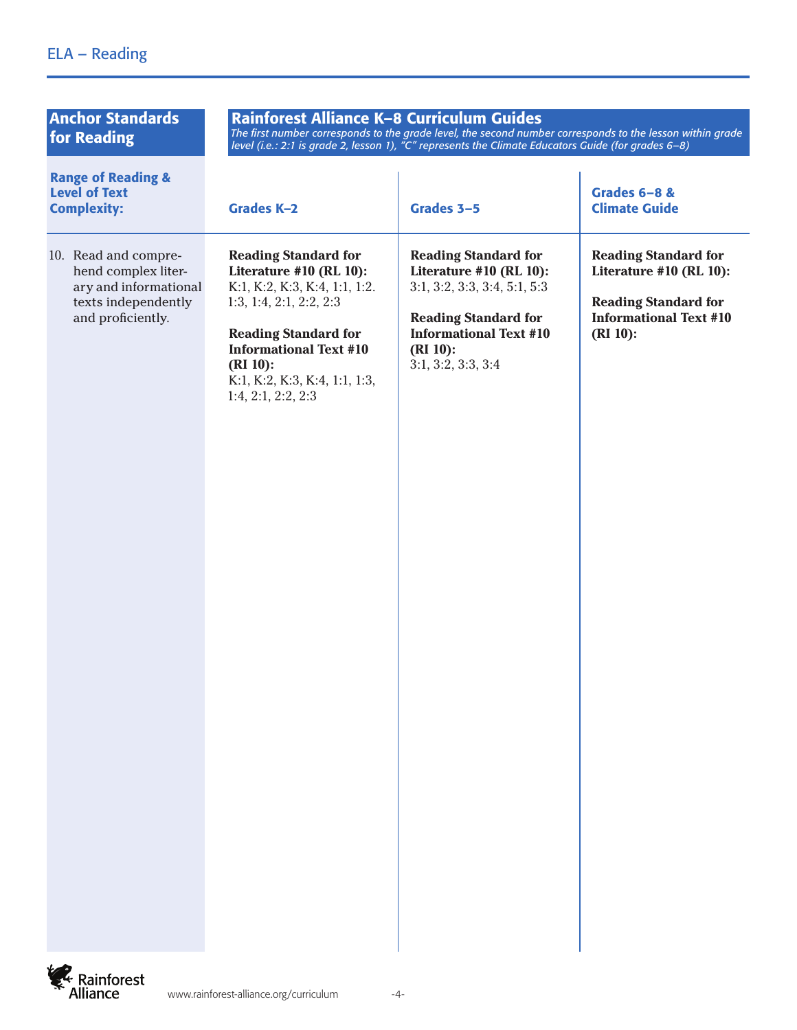## ELA – Reading

| <b>Anchor Standards</b><br>for Reading                                                                           | Rainforest Alliance K-8 Curriculum Guides<br>The first number corresponds to the grade level, the second number corresponds to the lesson within grade<br>level (i.e.: 2:1 is grade 2, lesson 1), "C" represents the Climate Educators Guide (for grades 6-8) |                                                                                                                                                                                             |                                                                                                                                       |
|------------------------------------------------------------------------------------------------------------------|---------------------------------------------------------------------------------------------------------------------------------------------------------------------------------------------------------------------------------------------------------------|---------------------------------------------------------------------------------------------------------------------------------------------------------------------------------------------|---------------------------------------------------------------------------------------------------------------------------------------|
| <b>Range of Reading &amp;</b><br><b>Level of Text</b><br><b>Complexity:</b>                                      | <b>Grades K-2</b>                                                                                                                                                                                                                                             | Grades 3-5                                                                                                                                                                                  | <b>Grades 6-8 &amp;</b><br><b>Climate Guide</b>                                                                                       |
| 10. Read and compre-<br>hend complex liter-<br>ary and informational<br>texts independently<br>and proficiently. | <b>Reading Standard for</b><br>Literature #10 (RL 10):<br>K:1, K:2, K:3, K:4, 1:1, 1:2.<br>1:3, 1:4, 2:1, 2:2, 2:3<br><b>Reading Standard for</b><br><b>Informational Text #10</b><br>$(RI 10)$ :<br>K:1, K:2, K:3, K:4, 1:1, 1:3,<br>1:4, 2:1, 2:2, 2:3      | <b>Reading Standard for</b><br>Literature #10 (RL 10):<br>3:1, 3:2, 3:3, 3:4, 5:1, 5:3<br><b>Reading Standard for</b><br><b>Informational Text #10</b><br>$(RI 10)$ :<br>3:1, 3:2, 3:3, 3:4 | <b>Reading Standard for</b><br>Literature #10 (RL 10):<br><b>Reading Standard for</b><br><b>Informational Text #10</b><br>$(RI 10)$ : |

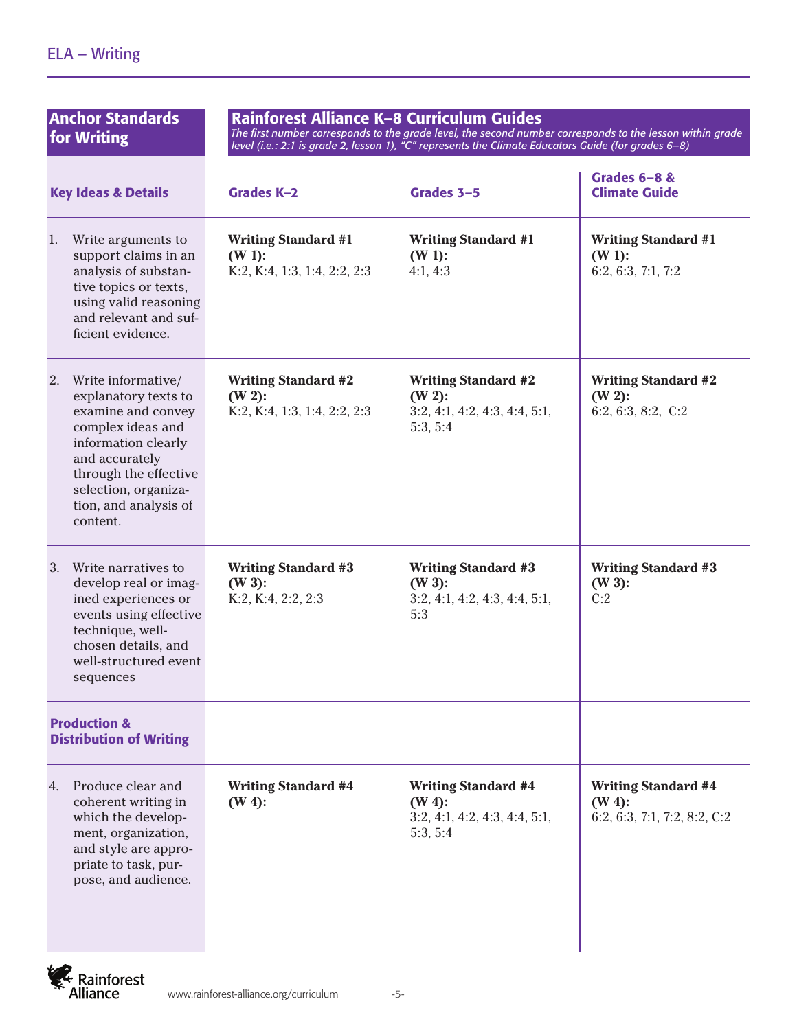| <b>Anchor Standards</b><br>for Writing                                                                                                                                                                                     | Rainforest Alliance K-8 Curriculum Guides<br>The first number corresponds to the grade level, the second number corresponds to the lesson within grade<br>level (i.e.: 2:1 is grade 2, lesson 1), "C" represents the Climate Educators Guide (for grades 6-8) |                                                                                      |                                                                         |
|----------------------------------------------------------------------------------------------------------------------------------------------------------------------------------------------------------------------------|---------------------------------------------------------------------------------------------------------------------------------------------------------------------------------------------------------------------------------------------------------------|--------------------------------------------------------------------------------------|-------------------------------------------------------------------------|
| <b>Key Ideas &amp; Details</b>                                                                                                                                                                                             | <b>Grades K-2</b>                                                                                                                                                                                                                                             | Grades 3-5                                                                           | Grades 6-8 &<br><b>Climate Guide</b>                                    |
| Write arguments to<br>1.<br>support claims in an<br>analysis of substan-<br>tive topics or texts,<br>using valid reasoning<br>and relevant and suf-<br>ficient evidence.                                                   | <b>Writing Standard #1</b><br>$(W 1)$ :<br>K:2, K:4, 1:3, 1:4, 2:2, 2:3                                                                                                                                                                                       | <b>Writing Standard #1</b><br>$(W 1)$ :<br>4:1, 4:3                                  | <b>Writing Standard #1</b><br>$(W 1)$ :<br>6:2, 6:3, 7:1, 7:2           |
| Write informative/<br>2.<br>explanatory texts to<br>examine and convey<br>complex ideas and<br>information clearly<br>and accurately<br>through the effective<br>selection, organiza-<br>tion, and analysis of<br>content. | <b>Writing Standard #2</b><br>$(W 2)$ :<br>K:2, K:4, 1:3, 1:4, 2:2, 2:3                                                                                                                                                                                       | <b>Writing Standard #2</b><br>$(W 2)$ :<br>3:2, 4:1, 4:2, 4:3, 4:4, 5:1,<br>5:3, 5:4 | <b>Writing Standard #2</b><br>$(W 2)$ :<br>6:2, 6:3, 8:2, $C:2$         |
| Write narratives to<br>3.<br>develop real or imag-<br>ined experiences or<br>events using effective<br>technique, well-<br>chosen details, and<br>well-structured event<br>sequences                                       | <b>Writing Standard #3</b><br>$(W 3)$ :<br>K:2, K:4, 2:2, 2:3                                                                                                                                                                                                 | <b>Writing Standard #3</b><br>$(W 3)$ :<br>3:2, 4:1, 4:2, 4:3, 4:4, 5:1,<br>5:3      | <b>Writing Standard #3</b><br>$(W 3)$ :<br>C:2                          |
| <b>Production &amp;</b><br><b>Distribution of Writing</b>                                                                                                                                                                  |                                                                                                                                                                                                                                                               |                                                                                      |                                                                         |
| Produce clear and<br>4.<br>coherent writing in<br>which the develop-<br>ment, organization,<br>and style are appro-<br>priate to task, pur-<br>pose, and audience.                                                         | <b>Writing Standard #4</b><br>$(W 4)$ :                                                                                                                                                                                                                       | <b>Writing Standard #4</b><br>$(W 4)$ :<br>3:2, 4:1, 4:2, 4:3, 4:4, 5:1,<br>5:3, 5:4 | <b>Writing Standard #4</b><br>$(W 4)$ :<br>6:2, 6:3, 7:1, 7:2, 8:2, C:2 |

**E**<br>Rainforest<br>Alliance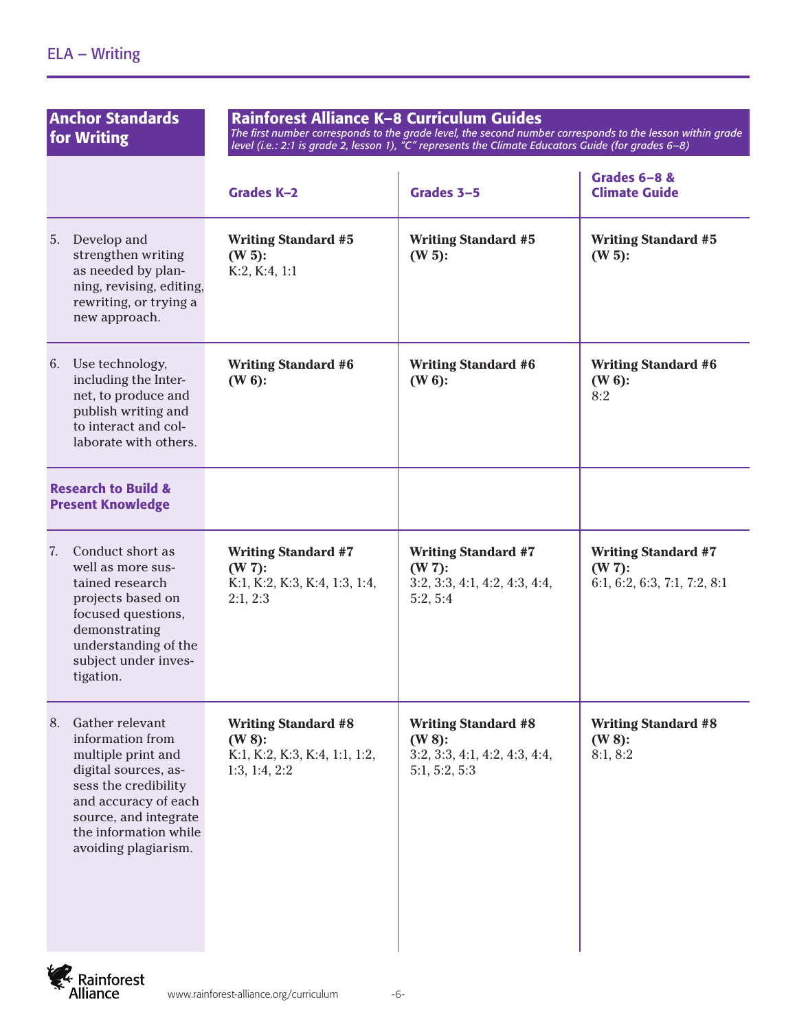| <b>Anchor Standards</b><br>for Writing                                                                                                                                                                            | Rainforest Alliance K-8 Curriculum Guides<br>The first number corresponds to the grade level, the second number corresponds to the lesson within grade<br>level (i.e.: 2:1 is grade 2, lesson 1), $\pi$ <sup>o</sup> represents the Climate Educators Guide (for grades 6-8) |                                                                                           |                                                                         |  |
|-------------------------------------------------------------------------------------------------------------------------------------------------------------------------------------------------------------------|------------------------------------------------------------------------------------------------------------------------------------------------------------------------------------------------------------------------------------------------------------------------------|-------------------------------------------------------------------------------------------|-------------------------------------------------------------------------|--|
|                                                                                                                                                                                                                   | <b>Grades K-2</b>                                                                                                                                                                                                                                                            | Grades 3-5                                                                                | Grades 6-8 &<br><b>Climate Guide</b>                                    |  |
| 5.<br>Develop and<br>strengthen writing<br>as needed by plan-<br>ning, revising, editing,<br>rewriting, or trying a<br>new approach.                                                                              | <b>Writing Standard #5</b><br>$(W 5)$ :<br>K:2, K:4, 1:1                                                                                                                                                                                                                     | <b>Writing Standard #5</b><br>$(W 5)$ :                                                   | <b>Writing Standard #5</b><br>$(W 5)$ :                                 |  |
| Use technology,<br>6.<br>including the Inter-<br>net, to produce and<br>publish writing and<br>to interact and col-<br>laborate with others.                                                                      | <b>Writing Standard #6</b><br>$(W6)$ :                                                                                                                                                                                                                                       | <b>Writing Standard #6</b><br>$(W6)$ :                                                    | <b>Writing Standard #6</b><br>$(W 6)$ :<br>8:2                          |  |
| <b>Research to Build &amp;</b><br><b>Present Knowledge</b>                                                                                                                                                        |                                                                                                                                                                                                                                                                              |                                                                                           |                                                                         |  |
| Conduct short as<br>7.<br>well as more sus-<br>tained research<br>projects based on<br>focused questions,<br>demonstrating<br>understanding of the<br>subject under inves-<br>tigation.                           | <b>Writing Standard #7</b><br>$(W 7)$ :<br>K:1, K:2, K:3, K:4, 1:3, 1:4,<br>2:1, 2:3                                                                                                                                                                                         | <b>Writing Standard #7</b><br>$(W 7)$ :<br>3:2, 3:3, 4:1, 4:2, 4:3, 4:4,<br>5:2, 5:4      | <b>Writing Standard #7</b><br>$(W 7)$ :<br>6:1, 6:2, 6:3, 7:1, 7:2, 8:1 |  |
| Gather relevant<br>8.<br>information from<br>multiple print and<br>digital sources, as-<br>sess the credibility<br>and accuracy of each<br>source, and integrate<br>the information while<br>avoiding plagiarism. | <b>Writing Standard #8</b><br>$(W 8)$ :<br>K:1, K:2, K:3, K:4, 1:1, 1:2,<br>1:3, 1:4, 2:2                                                                                                                                                                                    | <b>Writing Standard #8</b><br>$(W 8)$ :<br>3:2, 3:3, 4:1, 4:2, 4:3, 4:4,<br>5:1, 5:2, 5:3 | <b>Writing Standard #8</b><br>$(W 8)$ :<br>8:1, 8:2                     |  |

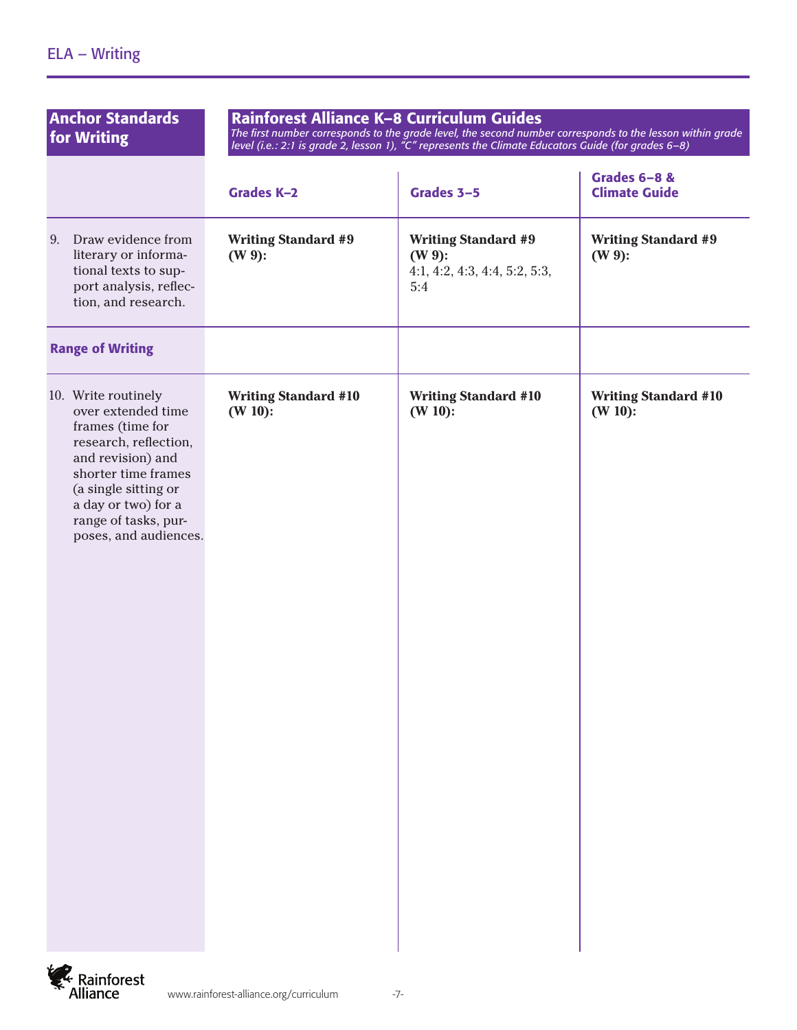| <b>Anchor Standards</b><br>for Writing                                                                                                                                                                                             | Rainforest Alliance K-8 Curriculum Guides<br>The first number corresponds to the grade level, the second number corresponds to the lesson within grade<br>level (i.e.: 2:1 is grade 2, lesson 1), "C" represents the Climate Educators Guide (for grades 6-8) |                                                                                 |                                           |
|------------------------------------------------------------------------------------------------------------------------------------------------------------------------------------------------------------------------------------|---------------------------------------------------------------------------------------------------------------------------------------------------------------------------------------------------------------------------------------------------------------|---------------------------------------------------------------------------------|-------------------------------------------|
|                                                                                                                                                                                                                                    | <b>Grades K-2</b>                                                                                                                                                                                                                                             | Grades 3-5                                                                      | Grades 6-8 &<br><b>Climate Guide</b>      |
| 9. Draw evidence from<br>literary or informa-<br>tional texts to sup-<br>port analysis, reflec-<br>tion, and research.                                                                                                             | <b>Writing Standard #9</b><br>$(W 9)$ :                                                                                                                                                                                                                       | <b>Writing Standard #9</b><br>$(W 9)$ :<br>4:1, 4:2, 4:3, 4:4, 5:2, 5:3,<br>5:4 | <b>Writing Standard #9</b><br>$(W 9)$ :   |
| <b>Range of Writing</b>                                                                                                                                                                                                            |                                                                                                                                                                                                                                                               |                                                                                 |                                           |
| 10. Write routinely<br>over extended time<br>frames (time for<br>research, reflection,<br>and revision) and<br>shorter time frames<br>(a single sitting or<br>a day or two) for a<br>range of tasks, pur-<br>poses, and audiences. | <b>Writing Standard #10</b><br>$(W 10)$ :                                                                                                                                                                                                                     | <b>Writing Standard #10</b><br>$(W 10)$ :                                       | <b>Writing Standard #10</b><br>$(W 10)$ : |

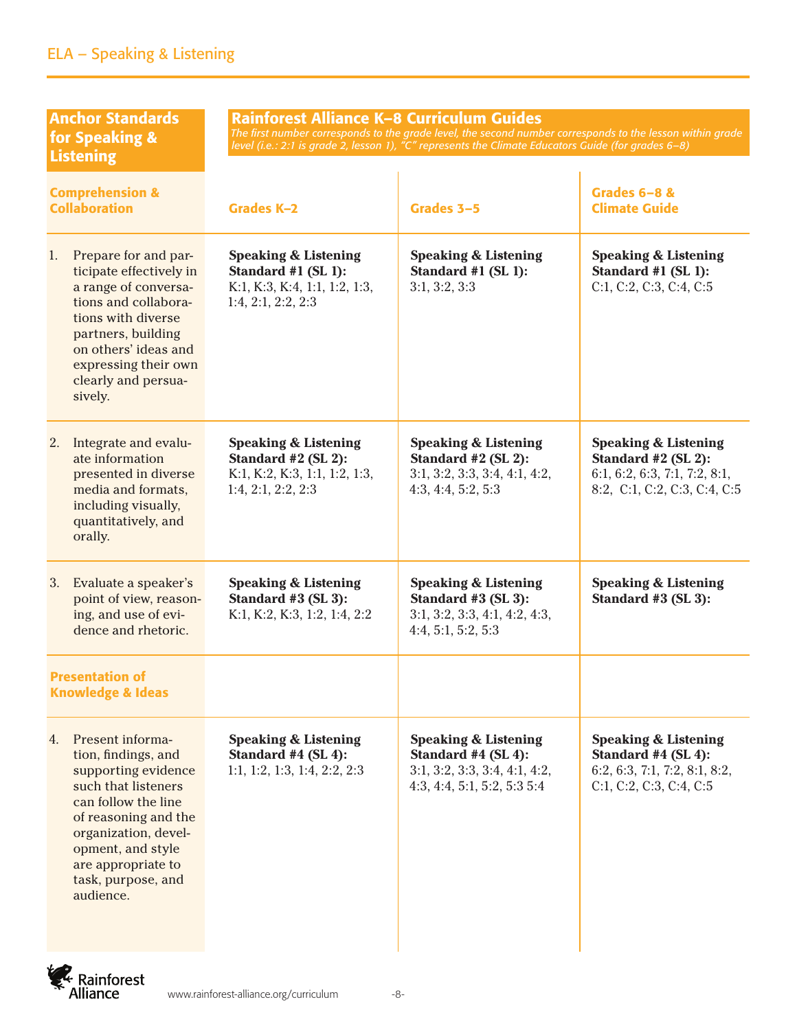| <b>Anchor Standards</b><br>for Speaking &<br><b>Listening</b>                                                                                                                                                                                    | Rainforest Alliance K-8 Curriculum Guides                                                                     | The first number corresponds to the grade level, the second number corresponds to the lesson within grade<br>level (i.e.: 2:1 is grade 2, lesson 1), "C" represents the Climate Educators Guide (for grades 6-8) |                                                                                                                         |
|--------------------------------------------------------------------------------------------------------------------------------------------------------------------------------------------------------------------------------------------------|---------------------------------------------------------------------------------------------------------------|------------------------------------------------------------------------------------------------------------------------------------------------------------------------------------------------------------------|-------------------------------------------------------------------------------------------------------------------------|
| <b>Comprehension &amp;</b><br><b>Collaboration</b>                                                                                                                                                                                               | Grades K-2                                                                                                    | Grades 3-5                                                                                                                                                                                                       | Grades 6-8 &<br><b>Climate Guide</b>                                                                                    |
| Prepare for and par-<br>1.<br>ticipate effectively in<br>a range of conversa-<br>tions and collabora-<br>tions with diverse<br>partners, building<br>on others' ideas and<br>expressing their own<br>clearly and persua-<br>sively.              | <b>Speaking &amp; Listening</b><br>Standard #1 (SL 1):<br>K:1, K:3, K:4, 1:1, 1:2, 1:3,<br>1:4, 2:1, 2:2, 2:3 | <b>Speaking &amp; Listening</b><br>Standard #1 (SL 1):<br>3:1, 3:2, 3:3                                                                                                                                          | <b>Speaking &amp; Listening</b><br>Standard #1 (SL 1):<br>C:1, C:2, C:3, C:4, C:5                                       |
| Integrate and evalu-<br>2.<br>ate information<br>presented in diverse<br>media and formats,<br>including visually,<br>quantitatively, and<br>orally.                                                                                             | <b>Speaking &amp; Listening</b><br>Standard #2 (SL 2):<br>K:1, K:2, K:3, 1:1, 1:2, 1:3,<br>1:4, 2:1, 2:2, 2:3 | <b>Speaking &amp; Listening</b><br>Standard #2 (SL 2):<br>3:1, 3:2, 3:3, 3:4, 4:1, 4:2,<br>4:3, 4:4, 5:2, 5:3                                                                                                    | <b>Speaking &amp; Listening</b><br>Standard #2 (SL 2):<br>6:1, 6:2, 6:3, 7:1, 7:2, 8:1,<br>8:2, C:1, C:2, C:3, C:4, C:5 |
| Evaluate a speaker's<br>3.<br>point of view, reason-<br>ing, and use of evi-<br>dence and rhetoric.                                                                                                                                              | <b>Speaking &amp; Listening</b><br>Standard #3 (SL 3):<br>K:1, K:2, K:3, 1:2, 1:4, 2:2                        | <b>Speaking &amp; Listening</b><br>Standard #3 (SL 3):<br>3:1, 3:2, 3:3, 4:1, 4:2, 4:3,<br>4:4, 5:1, 5:2, 5:3                                                                                                    | <b>Speaking &amp; Listening</b><br>Standard #3 (SL 3):                                                                  |
| <b>Presentation of</b><br><b>Knowledge &amp; Ideas</b>                                                                                                                                                                                           |                                                                                                               |                                                                                                                                                                                                                  |                                                                                                                         |
| Present informa-<br>4.<br>tion, findings, and<br>supporting evidence<br>such that listeners<br>can follow the line<br>of reasoning and the<br>organization, devel-<br>opment, and style<br>are appropriate to<br>task, purpose, and<br>audience. | <b>Speaking &amp; Listening</b><br>Standard #4 (SL 4):<br>1:1, 1:2, 1:3, 1:4, 2:2, 2:3                        | <b>Speaking &amp; Listening</b><br>Standard #4 (SL 4):<br>3:1, 3:2, 3:3, 3:4, 4:1, 4:2,<br>4:3, 4:4, 5:1, 5:2, 5:35:4                                                                                            | <b>Speaking &amp; Listening</b><br>Standard #4 (SL 4):<br>6:2, 6:3, 7:1, 7:2, 8:1, 8:2,<br>C:1, C:2, C:3, C:4, C:5      |

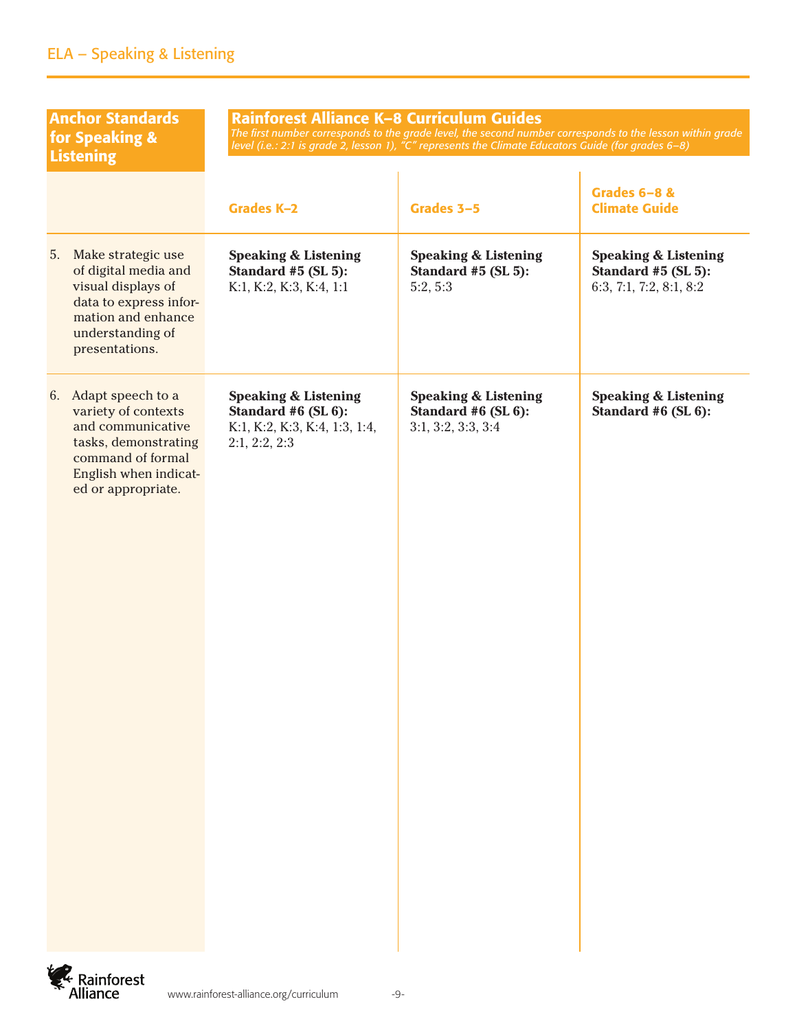| <b>Anchor Standards</b><br>for Speaking &<br><b>Listening</b>                                                                                                | Rainforest Alliance K-8 Curriculum Guides<br>The first number corresponds to the grade level, the second number corresponds to the lesson within grade<br>level (i.e.: 2:1 is grade 2, lesson 1), "C" represents the Climate Educators Guide (for grades 6–8) |                                                                              |                                                                                   |  |
|--------------------------------------------------------------------------------------------------------------------------------------------------------------|---------------------------------------------------------------------------------------------------------------------------------------------------------------------------------------------------------------------------------------------------------------|------------------------------------------------------------------------------|-----------------------------------------------------------------------------------|--|
|                                                                                                                                                              | Grades K-2                                                                                                                                                                                                                                                    | Grades 3-5                                                                   | Grades 6-8 &<br><b>Climate Guide</b>                                              |  |
| 5.<br>Make strategic use<br>of digital media and<br>visual displays of<br>data to express infor-<br>mation and enhance<br>understanding of<br>presentations. | <b>Speaking &amp; Listening</b><br>Standard #5 (SL 5):<br>K:1, K:2, K:3, K:4, 1:1                                                                                                                                                                             | <b>Speaking &amp; Listening</b><br>Standard #5 (SL 5):<br>5:2, 5:3           | <b>Speaking &amp; Listening</b><br>Standard #5 (SL 5):<br>6:3, 7:1, 7:2, 8:1, 8:2 |  |
| 6. Adapt speech to a<br>variety of contexts<br>and communicative<br>tasks, demonstrating<br>command of formal<br>English when indicat-<br>ed or appropriate. | <b>Speaking &amp; Listening</b><br>Standard #6 (SL 6):<br>K:1, K:2, K:3, K:4, 1:3, 1:4,<br>2:1, 2:2, 2:3                                                                                                                                                      | <b>Speaking &amp; Listening</b><br>Standard #6 (SL 6):<br>3:1, 3:2, 3:3, 3:4 | <b>Speaking &amp; Listening</b><br>Standard #6 (SL 6):                            |  |

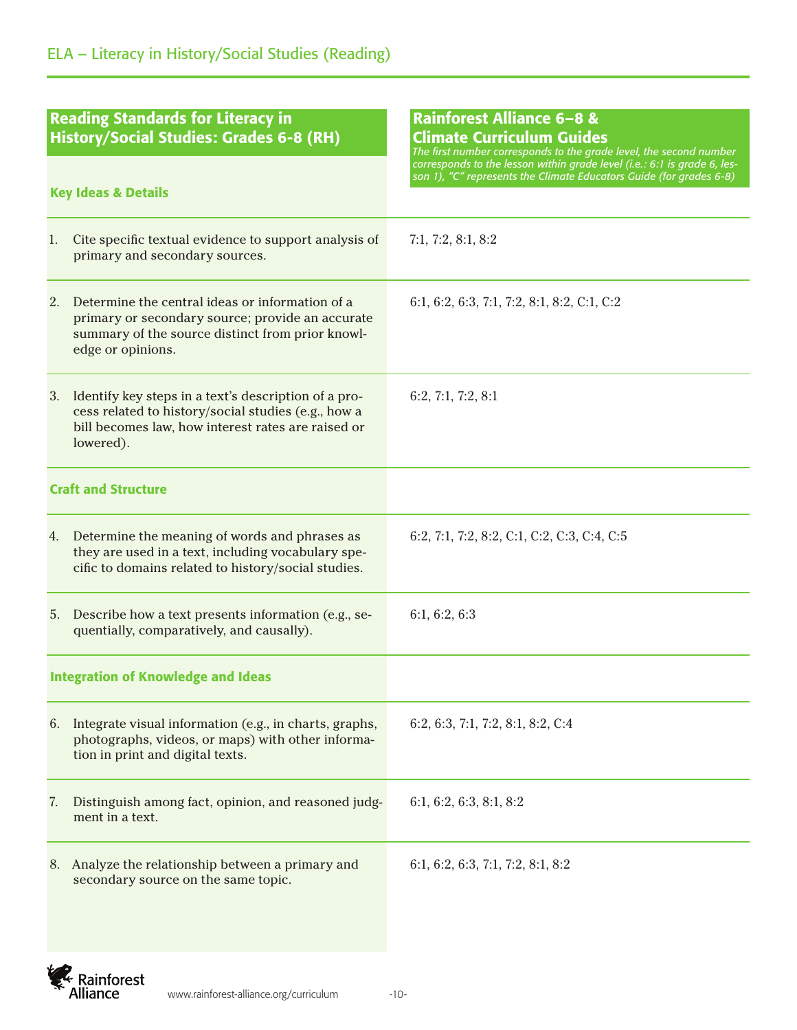| <b>Reading Standards for Literacy in</b><br><b>History/Social Studies: Grades 6-8 (RH)</b><br><b>Key Ideas &amp; Details</b> |                                                                                                                                                                                | Rainforest Alliance 6-8 &<br><b>Climate Curriculum Guides</b><br>The first number corresponds to the grade level, the second number<br>corresponds to the lesson within grade level (i.e.: 6:1 is grade 6, les- |  |
|------------------------------------------------------------------------------------------------------------------------------|--------------------------------------------------------------------------------------------------------------------------------------------------------------------------------|-----------------------------------------------------------------------------------------------------------------------------------------------------------------------------------------------------------------|--|
|                                                                                                                              |                                                                                                                                                                                | son 1), "C" represents the Climate Educators Guide (for grades 6-8)                                                                                                                                             |  |
| 1.                                                                                                                           | Cite specific textual evidence to support analysis of<br>primary and secondary sources.                                                                                        | 7:1, 7:2, 8:1, 8:2                                                                                                                                                                                              |  |
| 2.                                                                                                                           | Determine the central ideas or information of a<br>primary or secondary source; provide an accurate<br>summary of the source distinct from prior knowl-<br>edge or opinions.   | 6:1, 6:2, 6:3, 7:1, 7:2, 8:1, 8:2, C:1, C:2                                                                                                                                                                     |  |
| 3.                                                                                                                           | Identify key steps in a text's description of a pro-<br>cess related to history/social studies (e.g., how a<br>bill becomes law, how interest rates are raised or<br>lowered). | 6:2, 7:1, 7:2, 8:1                                                                                                                                                                                              |  |
| <b>Craft and Structure</b>                                                                                                   |                                                                                                                                                                                |                                                                                                                                                                                                                 |  |
|                                                                                                                              | 4. Determine the meaning of words and phrases as<br>they are used in a text, including vocabulary spe-<br>cific to domains related to history/social studies.                  | 6:2, 7:1, 7:2, 8:2, C:1, C:2, C:3, C:4, C:5                                                                                                                                                                     |  |
| 5.                                                                                                                           | Describe how a text presents information (e.g., se-<br>quentially, comparatively, and causally).                                                                               | 6:1, 6:2, 6:3                                                                                                                                                                                                   |  |
|                                                                                                                              | <b>Integration of Knowledge and Ideas</b>                                                                                                                                      |                                                                                                                                                                                                                 |  |
| 6.                                                                                                                           | Integrate visual information (e.g., in charts, graphs,<br>photographs, videos, or maps) with other informa-<br>tion in print and digital texts.                                | 6:2, 6:3, 7:1, 7:2, 8:1, 8:2, C:4                                                                                                                                                                               |  |
| 7.                                                                                                                           | Distinguish among fact, opinion, and reasoned judg-<br>ment in a text.                                                                                                         | 6:1, 6:2, 6:3, 8:1, 8:2                                                                                                                                                                                         |  |
| 8.                                                                                                                           | Analyze the relationship between a primary and<br>secondary source on the same topic.                                                                                          | 6:1, 6:2, 6:3, 7:1, 7:2, 8:1, 8:2                                                                                                                                                                               |  |

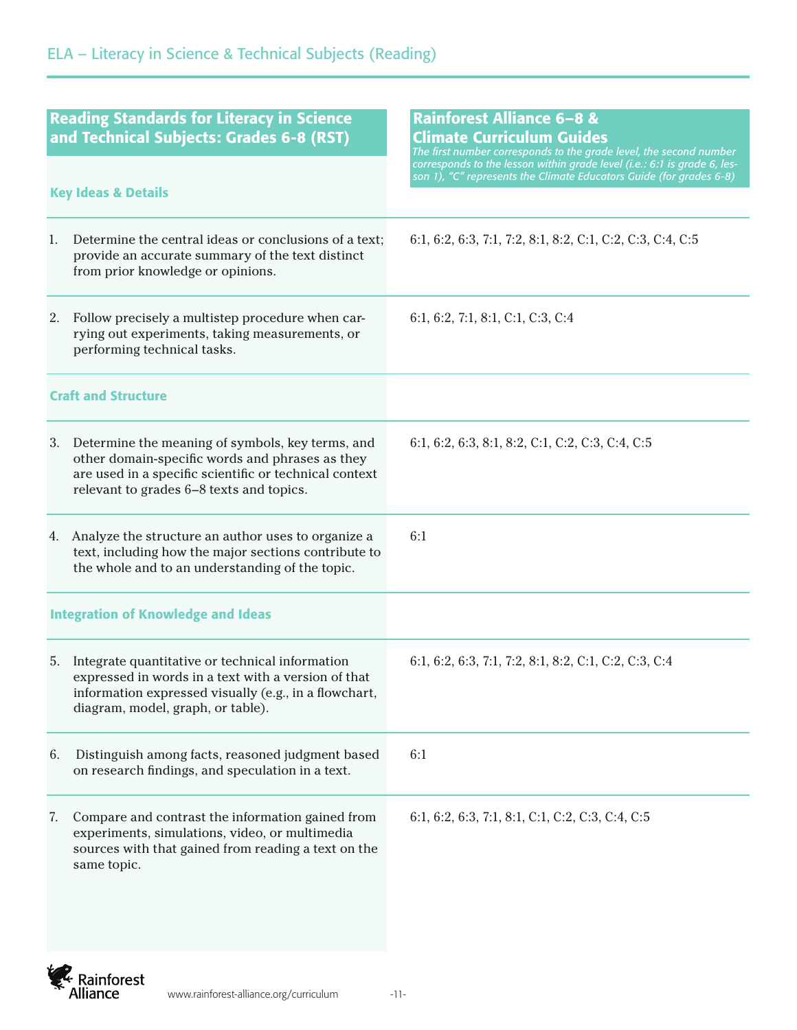| <b>Reading Standards for Literacy in Science</b><br>and Technical Subjects: Grades 6-8 (RST)                                                                                                                 | Rainforest Alliance 6-8 &<br><b>Climate Curriculum Guides</b><br>The first number corresponds to the grade level, the second number<br>corresponds to the lesson within grade level (i.e.: 6:1 is grade 6, les- |  |
|--------------------------------------------------------------------------------------------------------------------------------------------------------------------------------------------------------------|-----------------------------------------------------------------------------------------------------------------------------------------------------------------------------------------------------------------|--|
| <b>Key Ideas &amp; Details</b>                                                                                                                                                                               | son 1), "C" represents the Climate Educators Guide (for grades 6-8)                                                                                                                                             |  |
| Determine the central ideas or conclusions of a text;<br>1.<br>provide an accurate summary of the text distinct<br>from prior knowledge or opinions.                                                         | 6:1, 6:2, 6:3, 7:1, 7:2, 8:1, 8:2, C:1, C:2, C:3, C:4, C:5                                                                                                                                                      |  |
| 2. Follow precisely a multistep procedure when car-<br>rying out experiments, taking measurements, or<br>performing technical tasks.                                                                         | 6:1, 6:2, 7:1, 8:1, C:1, C:3, C:4                                                                                                                                                                               |  |
| <b>Craft and Structure</b>                                                                                                                                                                                   |                                                                                                                                                                                                                 |  |
| 3. Determine the meaning of symbols, key terms, and<br>other domain-specific words and phrases as they<br>are used in a specific scientific or technical context<br>relevant to grades 6–8 texts and topics. | 6:1, 6:2, 6:3, 8:1, 8:2, C:1, C:2, C:3, C:4, C:5                                                                                                                                                                |  |
| Analyze the structure an author uses to organize a<br>4.<br>text, including how the major sections contribute to<br>the whole and to an understanding of the topic.                                          | 6:1                                                                                                                                                                                                             |  |
| <b>Integration of Knowledge and Ideas</b>                                                                                                                                                                    |                                                                                                                                                                                                                 |  |
| Integrate quantitative or technical information<br>5.<br>expressed in words in a text with a version of that<br>information expressed visually (e.g., in a flowchart,<br>diagram, model, graph, or table).   | 6:1, 6:2, 6:3, 7:1, 7:2, 8:1, 8:2, C:1, C:2, C:3, C:4                                                                                                                                                           |  |
| 6.<br>Distinguish among facts, reasoned judgment based<br>on research findings, and speculation in a text.                                                                                                   | 6:1                                                                                                                                                                                                             |  |
| Compare and contrast the information gained from<br>7.<br>experiments, simulations, video, or multimedia<br>sources with that gained from reading a text on the<br>same topic.                               | 6:1, 6:2, 6:3, 7:1, 8:1, C:1, C:2, C:3, C:4, C:5                                                                                                                                                                |  |